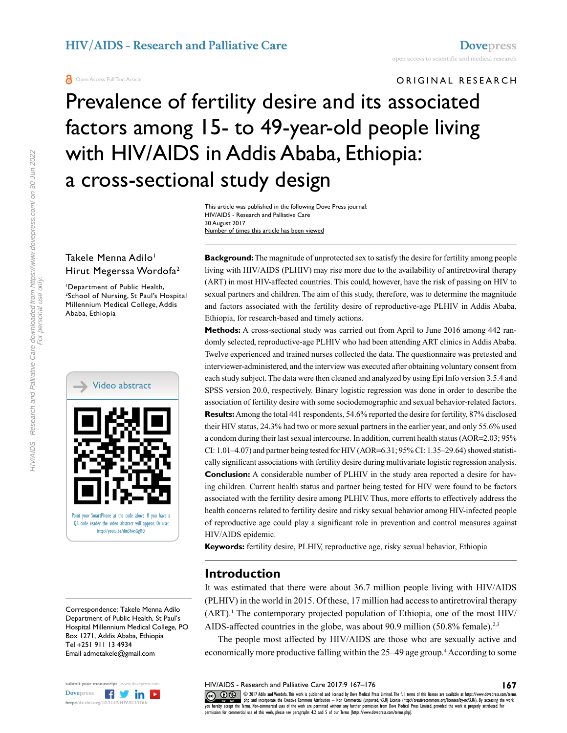#### ORIGINAL RESEARCH

# Prevalence of fertility desire and its associated factors among 15- to 49-year-old people living with HIV/AIDS in Addis Ababa, Ethiopia: a cross-sectional study design

This article was published in the following Dove Press journal: HIV/AIDS - Research and Palliative Care 30 August 2017 Number of times this article has been viewed

#### Takele Menna Adilo<sup>1</sup> Hirut Megerssa Wordofa2

1 Department of Public Health, 2 School of Nursing, St Paul's Hospital Millennium Medical College, Addis Ababa, Ethiopia



Correspondence: Takele Menna Adilo Department of Public Health, St Paul's Hospital Millennium Medical College, PO Box 1271, Addis Ababa, Ethiopia Tel +251 911 13 4934 Email admetakele@gmail.com



**Background:** The magnitude of unprotected sex to satisfy the desire for fertility among people living with HIV/AIDS (PLHIV) may rise more due to the availability of antiretroviral therapy (ART) in most HIV-affected countries. This could, however, have the risk of passing on HIV to sexual partners and children. The aim of this study, therefore, was to determine the magnitude and factors associated with the fertility desire of reproductive-age PLHIV in Addis Ababa, Ethiopia, for research-based and timely actions.

**Methods:** A cross-sectional study was carried out from April to June 2016 among 442 randomly selected, reproductive-age PLHIV who had been attending ART clinics in Addis Ababa. Twelve experienced and trained nurses collected the data. The questionnaire was pretested and interviewer-administered, and the interview was executed after obtaining voluntary consent from each study subject. The data were then cleaned and analyzed by using Epi Info version 3.5.4 and SPSS version 20.0, respectively. Binary logistic regression was done in order to describe the association of fertility desire with some sociodemographic and sexual behavior-related factors. **Results:** Among the total 441 respondents, 54.6% reported the desire for fertility, 87% disclosed their HIV status, 24.3% had two or more sexual partners in the earlier year, and only 55.6% used a condom during their last sexual intercourse. In addition, current health status (AOR=2.03; 95% CI: 1.01–4.07) and partner being tested for HIV (AOR=6.31; 95% CI: 1.35–29.64) showed statistically significant associations with fertility desire during multivariate logistic regression analysis. **Conclusion:** A considerable number of PLHIV in the study area reported a desire for having children. Current health status and partner being tested for HIV were found to be factors associated with the fertility desire among PLHIV. Thus, more efforts to effectively address the health concerns related to fertility desire and risky sexual behavior among HIV-infected people of reproductive age could play a significant role in prevention and control measures against HIV/AIDS epidemic.

**Keywords:** fertility desire, PLHIV, reproductive age, risky sexual behavior, Ethiopia

#### **Introduction**

It was estimated that there were about 36.7 million people living with HIV/AIDS (PLHIV) in the world in 2015. Of these, 17 million had access to antiretroviral therapy  $(ART)$ .<sup>1</sup> The contemporary projected population of Ethiopia, one of the most HIV/ AIDS-affected countries in the globe, was about 90.9 million (50.8% female).<sup>2,3</sup>

The people most affected by HIV/AIDS are those who are sexually active and economically more productive falling within the 25–49 age group.<sup>4</sup> According to some

www.com php and incorporate the Creative Commons Attribution — Non Commercial (unported, v3.0) License (http://creativecommons.org/licenses/by-nc/3.0/). By accessing the work<br>[you hereby accept the T](http://www.dovepress.com/permissions.php)erms. Non-commercial use

permission for commercial use of this work, please see paragraphs 4.2 and 5 of our Terms (https://www.dovepress.com/terms.php).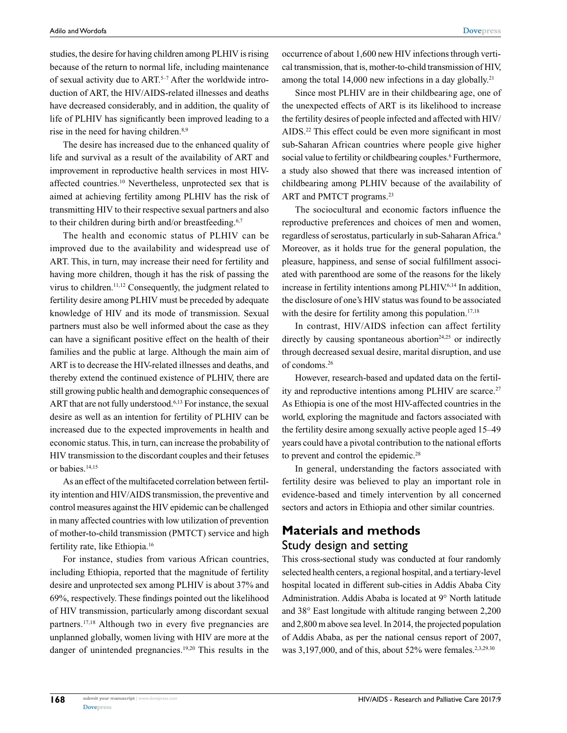studies, the desire for having children among PLHIV is rising because of the return to normal life, including maintenance of sexual activity due to ART.<sup>5-7</sup> After the worldwide introduction of ART, the HIV/AIDS-related illnesses and deaths have decreased considerably, and in addition, the quality of life of PLHIV has significantly been improved leading to a rise in the need for having children.8,9

The desire has increased due to the enhanced quality of life and survival as a result of the availability of ART and improvement in reproductive health services in most HIVaffected countries.10 Nevertheless, unprotected sex that is aimed at achieving fertility among PLHIV has the risk of transmitting HIV to their respective sexual partners and also to their children during birth and/or breastfeeding.<sup>6,7</sup>

The health and economic status of PLHIV can be improved due to the availability and widespread use of ART. This, in turn, may increase their need for fertility and having more children, though it has the risk of passing the virus to children.11,12 Consequently, the judgment related to fertility desire among PLHIV must be preceded by adequate knowledge of HIV and its mode of transmission. Sexual partners must also be well informed about the case as they can have a significant positive effect on the health of their families and the public at large. Although the main aim of ART is to decrease the HIV-related illnesses and deaths, and thereby extend the continued existence of PLHIV, there are still growing public health and demographic consequences of ART that are not fully understood.<sup>6,13</sup> For instance, the sexual desire as well as an intention for fertility of PLHIV can be increased due to the expected improvements in health and economic status. This, in turn, can increase the probability of HIV transmission to the discordant couples and their fetuses or babies.<sup>14,15</sup>

As an effect of the multifaceted correlation between fertility intention and HIV/AIDS transmission, the preventive and control measures against the HIV epidemic can be challenged in many affected countries with low utilization of prevention of mother-to-child transmission (PMTCT) service and high fertility rate, like Ethiopia.16

For instance, studies from various African countries, including Ethiopia, reported that the magnitude of fertility desire and unprotected sex among PLHIV is about 37% and 69%, respectively. These findings pointed out the likelihood of HIV transmission, particularly among discordant sexual partners.17,18 Although two in every five pregnancies are unplanned globally, women living with HIV are more at the danger of unintended pregnancies.19,20 This results in the occurrence of about 1,600 new HIV infections through vertical transmission, that is, mother-to-child transmission of HIV, among the total 14,000 new infections in a day globally.<sup>21</sup>

Since most PLHIV are in their childbearing age, one of the unexpected effects of ART is its likelihood to increase the fertility desires of people infected and affected with HIV/ AIDS.22 This effect could be even more significant in most sub-Saharan African countries where people give higher social value to fertility or childbearing couples.<sup>6</sup> Furthermore, a study also showed that there was increased intention of childbearing among PLHIV because of the availability of ART and PMTCT programs.<sup>23</sup>

The sociocultural and economic factors influence the reproductive preferences and choices of men and women, regardless of serostatus, particularly in sub-Saharan Africa.6 Moreover, as it holds true for the general population, the pleasure, happiness, and sense of social fulfillment associated with parenthood are some of the reasons for the likely increase in fertility intentions among PLHIV.<sup>6,14</sup> In addition, the disclosure of one's HIV status was found to be associated with the desire for fertility among this population.<sup>17,18</sup>

In contrast, HIV/AIDS infection can affect fertility directly by causing spontaneous abortion<sup>24,25</sup> or indirectly through decreased sexual desire, marital disruption, and use of condoms.26

However, research-based and updated data on the fertility and reproductive intentions among PLHIV are scarce.<sup>27</sup> As Ethiopia is one of the most HIV-affected countries in the world, exploring the magnitude and factors associated with the fertility desire among sexually active people aged 15–49 years could have a pivotal contribution to the national efforts to prevent and control the epidemic.<sup>28</sup>

In general, understanding the factors associated with fertility desire was believed to play an important role in evidence-based and timely intervention by all concerned sectors and actors in Ethiopia and other similar countries.

## **Materials and methods** Study design and setting

This cross-sectional study was conducted at four randomly selected health centers, a regional hospital, and a tertiary-level hospital located in different sub-cities in Addis Ababa City Administration. Addis Ababa is located at 9° North latitude and 38° East longitude with altitude ranging between 2,200 and 2,800 m above sea level. In 2014, the projected population of Addis Ababa, as per the national census report of 2007, was  $3,197,000$ , and of this, about  $52\%$  were females.<sup>2,3,29.30</sup>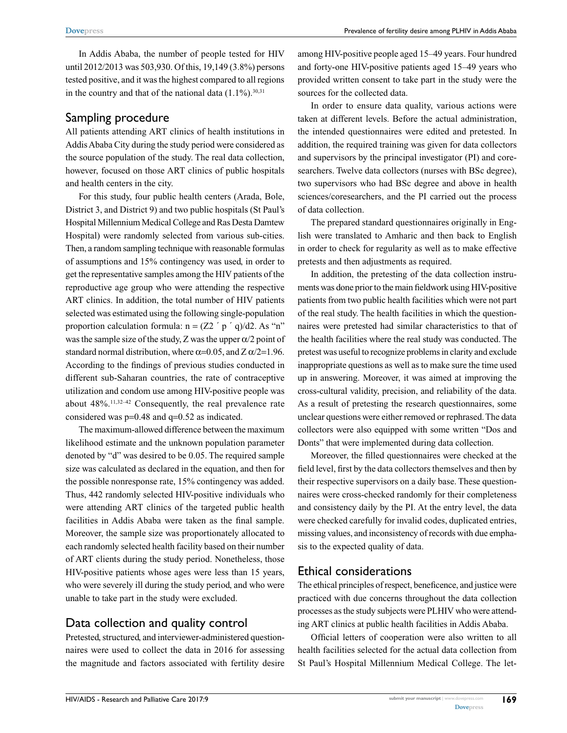In Addis Ababa, the number of people tested for HIV until 2012/2013 was 503,930. Of this, 19,149 (3.8%) persons tested positive, and it was the highest compared to all regions in the country and that of the national data  $(1.1\%)$ .<sup>30,31</sup>

#### Sampling procedure

All patients attending ART clinics of health institutions in Addis Ababa City during the study period were considered as the source population of the study. The real data collection, however, focused on those ART clinics of public hospitals and health centers in the city.

For this study, four public health centers (Arada, Bole, District 3, and District 9) and two public hospitals (St Paul's Hospital Millennium Medical College and Ras Desta Damtew Hospital) were randomly selected from various sub-cities. Then, a random sampling technique with reasonable formulas of assumptions and 15% contingency was used, in order to get the representative samples among the HIV patients of the reproductive age group who were attending the respective ART clinics. In addition, the total number of HIV patients selected was estimated using the following single-population proportion calculation formula:  $n = (Z2' p' q)/d2$ . As "n" was the sample size of the study, Z was the upper  $\alpha/2$  point of standard normal distribution, where  $\alpha$ =0.05, and Z  $\alpha$ /2=1.96. According to the findings of previous studies conducted in different sub-Saharan countries, the rate of contraceptive utilization and condom use among HIV-positive people was about  $48\%$ <sup>11,32-42</sup> Consequently, the real prevalence rate considered was p=0.48 and q=0.52 as indicated.

The maximum-allowed difference between the maximum likelihood estimate and the unknown population parameter denoted by "d" was desired to be 0.05. The required sample size was calculated as declared in the equation, and then for the possible nonresponse rate, 15% contingency was added. Thus, 442 randomly selected HIV-positive individuals who were attending ART clinics of the targeted public health facilities in Addis Ababa were taken as the final sample. Moreover, the sample size was proportionately allocated to each randomly selected health facility based on their number of ART clients during the study period. Nonetheless, those HIV-positive patients whose ages were less than 15 years, who were severely ill during the study period, and who were unable to take part in the study were excluded.

#### Data collection and quality control

Pretested, structured, and interviewer-administered questionnaires were used to collect the data in 2016 for assessing the magnitude and factors associated with fertility desire among HIV-positive people aged 15–49 years. Four hundred and forty-one HIV-positive patients aged 15–49 years who provided written consent to take part in the study were the sources for the collected data.

In order to ensure data quality, various actions were taken at different levels. Before the actual administration, the intended questionnaires were edited and pretested. In addition, the required training was given for data collectors and supervisors by the principal investigator (PI) and coresearchers. Twelve data collectors (nurses with BSc degree), two supervisors who had BSc degree and above in health sciences/coresearchers, and the PI carried out the process of data collection.

The prepared standard questionnaires originally in English were translated to Amharic and then back to English in order to check for regularity as well as to make effective pretests and then adjustments as required.

In addition, the pretesting of the data collection instruments was done prior to the main fieldwork using HIV-positive patients from two public health facilities which were not part of the real study. The health facilities in which the questionnaires were pretested had similar characteristics to that of the health facilities where the real study was conducted. The pretest was useful to recognize problems in clarity and exclude inappropriate questions as well as to make sure the time used up in answering. Moreover, it was aimed at improving the cross-cultural validity, precision, and reliability of the data. As a result of pretesting the research questionnaires, some unclear questions were either removed or rephrased. The data collectors were also equipped with some written "Dos and Donts" that were implemented during data collection.

Moreover, the filled questionnaires were checked at the field level, first by the data collectors themselves and then by their respective supervisors on a daily base. These questionnaires were cross-checked randomly for their completeness and consistency daily by the PI. At the entry level, the data were checked carefully for invalid codes, duplicated entries, missing values, and inconsistency of records with due emphasis to the expected quality of data.

#### Ethical considerations

The ethical principles of respect, beneficence, and justice were practiced with due concerns throughout the data collection processes as the study subjects were PLHIV who were attending ART clinics at public health facilities in Addis Ababa.

Official letters of cooperation were also written to all health facilities selected for the actual data collection from St Paul's Hospital Millennium Medical College. The let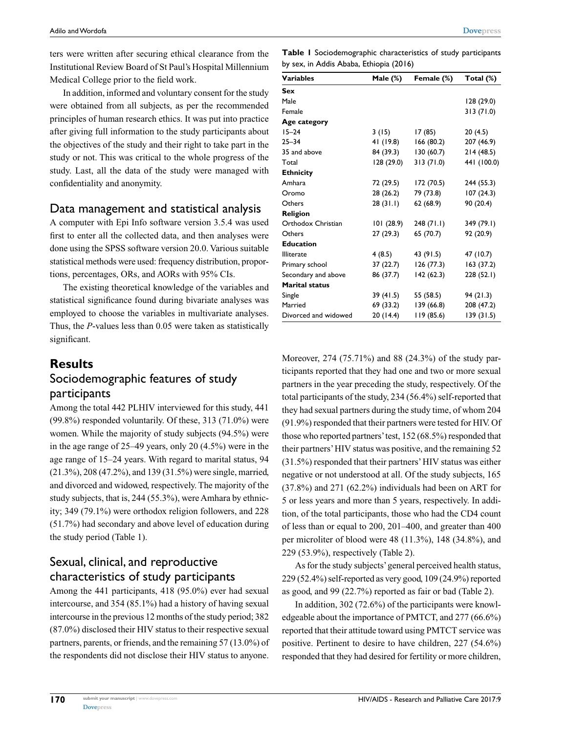ters were written after securing ethical clearance from the Institutional Review Board of St Paul's Hospital Millennium Medical College prior to the field work.

In addition, informed and voluntary consent for the study were obtained from all subjects, as per the recommended principles of human research ethics. It was put into practice after giving full information to the study participants about the objectives of the study and their right to take part in the study or not. This was critical to the whole progress of the study. Last, all the data of the study were managed with confidentiality and anonymity.

## Data management and statistical analysis

A computer with Epi Info software version 3.5.4 was used first to enter all the collected data, and then analyses were done using the SPSS software version 20.0. Various suitable statistical methods were used: frequency distribution, proportions, percentages, ORs, and AORs with 95% CIs.

The existing theoretical knowledge of the variables and statistical significance found during bivariate analyses was employed to choose the variables in multivariate analyses. Thus, the *P*-values less than 0.05 were taken as statistically significant.

## **Results**

## Sociodemographic features of study participants

Among the total 442 PLHIV interviewed for this study, 441 (99.8%) responded voluntarily. Of these, 313 (71.0%) were women. While the majority of study subjects (94.5%) were in the age range of 25–49 years, only 20 (4.5%) were in the age range of 15–24 years. With regard to marital status, 94 (21.3%), 208 (47.2%), and 139 (31.5%) were single, married, and divorced and widowed, respectively. The majority of the study subjects, that is, 244 (55.3%), were Amhara by ethnicity; 349 (79.1%) were orthodox religion followers, and 228 (51.7%) had secondary and above level of education during the study period (Table 1).

# Sexual, clinical, and reproductive characteristics of study participants

Among the 441 participants, 418 (95.0%) ever had sexual intercourse, and 354 (85.1%) had a history of having sexual intercourse in the previous 12 months of the study period; 382 (87.0%) disclosed their HIV status to their respective sexual partners, parents, or friends, and the remaining 57 (13.0%) of the respondents did not disclose their HIV status to anyone.

**Table 1** Sociodemographic characteristics of study participants by sex, in Addis Ababa, Ethiopia (2016)

| Variables            | Male (%)   | Female (%) | Total (%)   |
|----------------------|------------|------------|-------------|
| Sex                  |            |            |             |
| Male                 |            |            | 128 (29.0)  |
| Female               |            |            | 313(71.0)   |
| Age category         |            |            |             |
| $15 - 24$            | 3(15)      | 17(85)     | 20 (4.5)    |
| 25–34                | 41 (19.8)  | 166(80.2)  | 207 (46.9)  |
| 35 and above         | 84 (39.3)  | 130(60.7)  | 214(48.5)   |
| Total                | 128 (29.0) | 313(71.0)  | 441 (100.0) |
| <b>Ethnicity</b>     |            |            |             |
| Amhara               | 72 (29.5)  | 172 (70.5) | 244 (55.3)  |
| Oromo                | 28 (26.2)  | 79 (73.8)  | 107(24.3)   |
| Others               | 28(31.1)   | 62(68.9)   | 90 (20.4)   |
| Religion             |            |            |             |
| Orthodox Christian   | 101(28.9)  | 248(71.1)  | 349 (79.1)  |
| Others               | 27 (29.3)  | 65 (70.7)  | 92 (20.9)   |
| <b>Education</b>     |            |            |             |
| <b>Illiterate</b>    | 4(8.5)     | 43 (91.5)  | 47 (10.7)   |
| Primary school       | 37 (22.7)  | 126(77.3)  | 163(37.2)   |
| Secondary and above  | 86 (37.7)  | 142(62.3)  | 228 (52.1)  |
| Marital status       |            |            |             |
| Single               | 39 (41.5)  | 55 (58.5)  | 94(21.3)    |
| Married              | 69 (33.2)  | 139(66.8)  | 208 (47.2)  |
| Divorced and widowed | 20(14.4)   | 119(85.6)  | 139(31.5)   |

Moreover, 274 (75.71%) and 88 (24.3%) of the study participants reported that they had one and two or more sexual partners in the year preceding the study, respectively. Of the total participants of the study, 234 (56.4%) self-reported that they had sexual partners during the study time, of whom 204 (91.9%) responded that their partners were tested for HIV. Of those who reported partners' test, 152 (68.5%) responded that their partners' HIV status was positive, and the remaining 52 (31.5%) responded that their partners' HIV status was either negative or not understood at all. Of the study subjects, 165 (37.8%) and 271 (62.2%) individuals had been on ART for 5 or less years and more than 5 years, respectively. In addition, of the total participants, those who had the CD4 count of less than or equal to 200, 201–400, and greater than 400 per microliter of blood were 48 (11.3%), 148 (34.8%), and 229 (53.9%), respectively (Table 2).

As for the study subjects' general perceived health status, 229 (52.4%) self-reported as very good, 109 (24.9%) reported as good, and 99 (22.7%) reported as fair or bad (Table 2).

In addition, 302 (72.6%) of the participants were knowledgeable about the importance of PMTCT, and 277 (66.6%) reported that their attitude toward using PMTCT service was positive. Pertinent to desire to have children, 227 (54.6%) responded that they had desired for fertility or more children,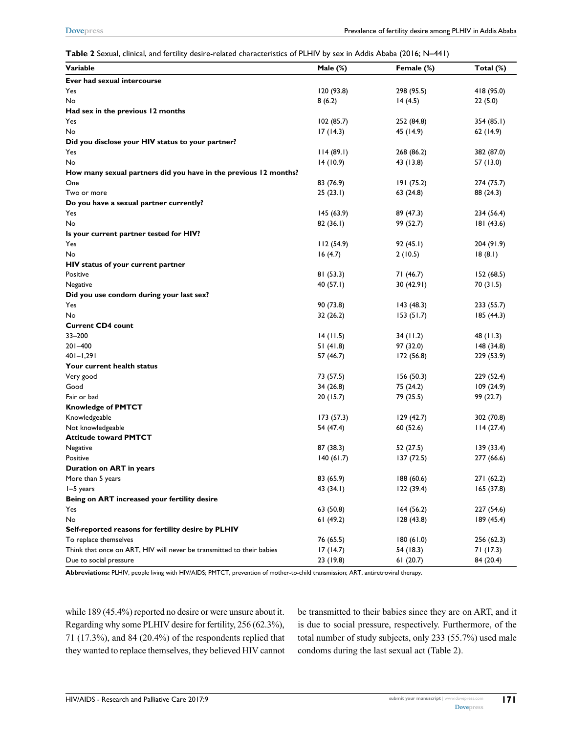**Table 2** Sexual, clinical, and fertility desire-related characteristics of PLHIV by sex in Addis Ababa (2016; N=441)

| Variable                                                              | Male (%)    | Female (%) | Total (%)  |
|-----------------------------------------------------------------------|-------------|------------|------------|
| Ever had sexual intercourse                                           |             |            |            |
| Yes                                                                   | 120(93.8)   | 298 (95.5) | 418 (95.0) |
| No                                                                    | 8(6.2)      | 14(4.5)    | 22(5.0)    |
| Had sex in the previous 12 months                                     |             |            |            |
| Yes                                                                   | 102(85.7)   | 252 (84.8) | 354 (85.1) |
| No                                                                    | 17(14.3)    | 45 (14.9)  | 62 (14.9)  |
| Did you disclose your HIV status to your partner?                     |             |            |            |
| Yes                                                                   | 114(89.1)   | 268 (86.2) | 382 (87.0) |
| No                                                                    | 14(10.9)    | 43 (13.8)  | 57 (13.0)  |
| How many sexual partners did you have in the previous 12 months?      |             |            |            |
| One                                                                   | 83 (76.9)   | 191(75.2)  | 274 (75.7) |
| Two or more                                                           | 25(23.1)    | 63 (24.8)  | 88 (24.3)  |
| Do you have a sexual partner currently?                               |             |            |            |
| Yes                                                                   | 145(63.9)   | 89 (47.3)  | 234 (56.4) |
| No                                                                    | 82(36.1)    | 99 (52.7)  | 181 (43.6) |
| Is your current partner tested for HIV?                               |             |            |            |
| Yes                                                                   | 112(54.9)   | 92(45.1)   | 204 (91.9) |
| No                                                                    | 16(4.7)     | 2(10.5)    | 18(8.1)    |
| HIV status of your current partner                                    |             |            |            |
| Positive                                                              | 81(53.3)    | 71 (46.7)  | 152(68.5)  |
| Negative                                                              | 40 $(57.1)$ | 30 (42.91) | 70(31.5)   |
| Did you use condom during your last sex?                              |             |            |            |
| Yes                                                                   | 90 (73.8)   | 143(48.3)  | 233 (55.7) |
| No                                                                    | 32(26.2)    | 153(51.7)  | 185 (44.3) |
| <b>Current CD4 count</b>                                              |             |            |            |
| 33-200                                                                | 14(11.5)    | 34(11.2)   | 48 (11.3)  |
| $201 - 400$                                                           | 51(41.8)    | 97 (32.0)  | 148(34.8)  |
| $401 - 1,291$                                                         | 57 (46.7)   | 172 (56.8) | 229 (53.9) |
| Your current health status                                            |             |            |            |
| Very good                                                             | 73 (57.5)   | 156(50.3)  | 229 (52.4) |
| Good                                                                  | 34(26.8)    | 75 (24.2)  | 109(24.9)  |
| Fair or bad                                                           | 20(15.7)    | 79 (25.5)  | 99 (22.7)  |
| <b>Knowledge of PMTCT</b>                                             |             |            |            |
| Knowledgeable                                                         | 173 (57.3)  | 129(42.7)  | 302 (70.8) |
| Not knowledgeable                                                     | 54 (47.4)   | 60 (52.6)  | 114(27.4)  |
| <b>Attitude toward PMTCT</b>                                          |             |            |            |
| Negative                                                              | 87 (38.3)   | 52 (27.5)  | 139(33.4)  |
| Positive                                                              | 140(61.7)   | 137 (72.5) | 277 (66.6) |
| Duration on ART in years                                              |             |            |            |
| More than 5 years                                                     | 83 (65.9)   | 188 (60.6) | 271 (62.2) |
| I-5 years                                                             | 43 (34.1)   | 122(39.4)  | 165(37.8)  |
| Being on ART increased your fertility desire                          |             |            |            |
| Yes                                                                   | 63 (50.8)   | 164(56.2)  | 227 (54.6) |
| No                                                                    | 61(49.2)    | 128(43.8)  | 189(45.4)  |
| Self-reported reasons for fertility desire by PLHIV                   |             |            |            |
| To replace themselves                                                 | 76 (65.5)   | 180(61.0)  | 256 (62.3) |
| Think that once on ART, HIV will never be transmitted to their babies | 17(14.7)    | 54 (18.3)  | 71 (17.3)  |
| Due to social pressure                                                | 23 (19.8)   | 61(20.7)   | 84 (20.4)  |

**Abbreviations:** PLHIV, people living with HIV/AIDS; PMTCT, prevention of mother-to-child transmission; ART, antiretroviral therapy.

while 189 (45.4%) reported no desire or were unsure about it. Regarding why some PLHIV desire for fertility, 256 (62.3%), 71 (17.3%), and 84 (20.4%) of the respondents replied that they wanted to replace themselves, they believed HIV cannot be transmitted to their babies since they are on ART, and it is due to social pressure, respectively. Furthermore, of the total number of study subjects, only 233 (55.7%) used male condoms during the last sexual act (Table 2).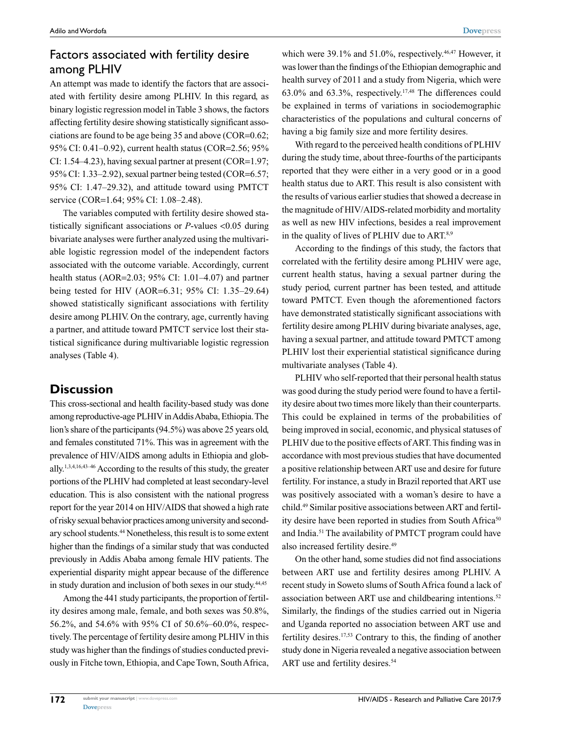# Factors associated with fertility desire among PLHIV

An attempt was made to identify the factors that are associated with fertility desire among PLHIV. In this regard, as binary logistic regression model in Table 3 shows, the factors affecting fertility desire showing statistically significant associations are found to be age being 35 and above (COR=0.62; 95% CI: 0.41–0.92), current health status (COR=2.56; 95% CI: 1.54–4.23), having sexual partner at present (COR=1.97; 95% CI: 1.33–2.92), sexual partner being tested (COR=6.57; 95% CI: 1.47–29.32), and attitude toward using PMTCT service (COR=1.64; 95% CI: 1.08–2.48).

The variables computed with fertility desire showed statistically significant associations or *P*-values <0.05 during bivariate analyses were further analyzed using the multivariable logistic regression model of the independent factors associated with the outcome variable. Accordingly, current health status (AOR=2.03; 95% CI: 1.01–4.07) and partner being tested for HIV (AOR=6.31; 95% CI: 1.35–29.64) showed statistically significant associations with fertility desire among PLHIV. On the contrary, age, currently having a partner, and attitude toward PMTCT service lost their statistical significance during multivariable logistic regression analyses (Table 4).

# **Discussion**

This cross-sectional and health facility-based study was done among reproductive-age PLHIV in Addis Ababa, Ethiopia. The lion's share of the participants (94.5%) was above 25 years old, and females constituted 71%. This was in agreement with the prevalence of HIV/AIDS among adults in Ethiopia and globally.1,3,4,16,43–46 According to the results of this study, the greater portions of the PLHIV had completed at least secondary-level education. This is also consistent with the national progress report for the year 2014 on HIV/AIDS that showed a high rate of risky sexual behavior practices among university and secondary school students.44 Nonetheless, this result is to some extent higher than the findings of a similar study that was conducted previously in Addis Ababa among female HIV patients. The experiential disparity might appear because of the difference in study duration and inclusion of both sexes in our study.<sup>44,45</sup>

Among the 441 study participants, the proportion of fertility desires among male, female, and both sexes was 50.8%, 56.2%, and 54.6% with 95% CI of 50.6%–60.0%, respectively. The percentage of fertility desire among PLHIV in this study was higher than the findings of studies conducted previously in Fitche town, Ethiopia, and Cape Town, South Africa,

which were  $39.1\%$  and  $51.0\%$ , respectively.<sup>46,47</sup> However, it was lower than the findings of the Ethiopian demographic and health survey of 2011 and a study from Nigeria, which were 63.0% and 63.3%, respectively.17,48 The differences could be explained in terms of variations in sociodemographic characteristics of the populations and cultural concerns of having a big family size and more fertility desires.

With regard to the perceived health conditions of PLHIV during the study time, about three-fourths of the participants reported that they were either in a very good or in a good health status due to ART. This result is also consistent with the results of various earlier studies that showed a decrease in the magnitude of HIV/AIDS-related morbidity and mortality as well as new HIV infections, besides a real improvement in the quality of lives of PLHIV due to ART.<sup>8,9</sup>

According to the findings of this study, the factors that correlated with the fertility desire among PLHIV were age, current health status, having a sexual partner during the study period, current partner has been tested, and attitude toward PMTCT. Even though the aforementioned factors have demonstrated statistically significant associations with fertility desire among PLHIV during bivariate analyses, age, having a sexual partner, and attitude toward PMTCT among PLHIV lost their experiential statistical significance during multivariate analyses (Table 4).

PLHIV who self-reported that their personal health status was good during the study period were found to have a fertility desire about two times more likely than their counterparts. This could be explained in terms of the probabilities of being improved in social, economic, and physical statuses of PLHIV due to the positive effects of ART. This finding was in accordance with most previous studies that have documented a positive relationship between ART use and desire for future fertility. For instance, a study in Brazil reported that ART use was positively associated with a woman's desire to have a child.49 Similar positive associations between ART and fertility desire have been reported in studies from South Africa<sup>50</sup> and India.51 The availability of PMTCT program could have also increased fertility desire.<sup>49</sup>

On the other hand, some studies did not find associations between ART use and fertility desires among PLHIV. A recent study in Soweto slums of South Africa found a lack of association between ART use and childbearing intentions.<sup>52</sup> Similarly, the findings of the studies carried out in Nigeria and Uganda reported no association between ART use and fertility desires.17,53 Contrary to this, the finding of another study done in Nigeria revealed a negative association between ART use and fertility desires.<sup>54</sup>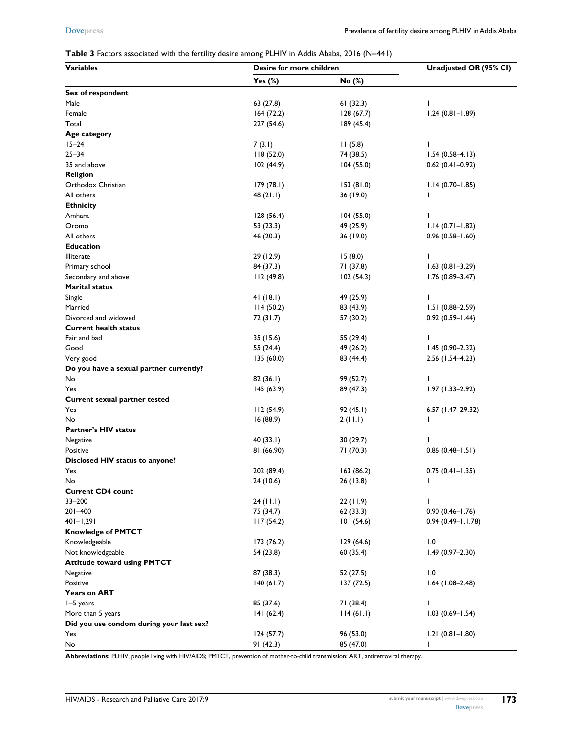#### **Table 3** Factors associated with the fertility desire among PLHIV in Addis Ababa, 2016 (N=441)

| <b>Variables</b>                         | Desire for more children |            | Unadjusted OR (95% CI) |  |
|------------------------------------------|--------------------------|------------|------------------------|--|
|                                          | Yes $(\%)$               | No (%)     |                        |  |
| Sex of respondent                        |                          |            |                        |  |
| Male                                     | 63 (27.8)                | 61(32.3)   | I                      |  |
| Female                                   | 164(72.2)                | 128(67.7)  | $1.24(0.81 - 1.89)$    |  |
| Total                                    | 227 (54.6)               | 189 (45.4) |                        |  |
| Age category                             |                          |            |                        |  |
| $15 - 24$                                | 7(3.1)                   | 11(5.8)    | $\overline{1}$         |  |
| $25 - 34$                                | 118(52.0)                | 74 (38.5)  | $1.54(0.58 - 4.13)$    |  |
| 35 and above                             | 102 (44.9)               | 104(55.0)  | $0.62$ (0.41-0.92)     |  |
| <b>Religion</b>                          |                          |            |                        |  |
| Orthodox Christian                       | 179 (78.1)               | 153(81.0)  | $1.14(0.70 - 1.85)$    |  |
| All others                               | 48(21.1)                 | 36 (19.0)  | $\mathbf{I}$           |  |
| <b>Ethnicity</b>                         |                          |            |                        |  |
| Amhara                                   | 128(56.4)                | 104(55.0)  | $\mathbf{I}$           |  |
| Oromo                                    | 53 (23.3)                | 49 (25.9)  | $1.14(0.71 - 1.82)$    |  |
| All others                               | 46 (20.3)                | 36 (19.0)  | $0.96(0.58 - 1.60)$    |  |
| <b>Education</b>                         |                          |            |                        |  |
| <b>Illiterate</b>                        | 29 (12.9)                | 15(8.0)    | $\mathbf{I}$           |  |
| Primary school                           | 84 (37.3)                | 71 (37.8)  | $1.63(0.81 - 3.29)$    |  |
| Secondary and above                      | 112(49.8)                | 102(54.3)  | $1.76(0.89 - 3.47)$    |  |
| <b>Marital status</b>                    |                          |            |                        |  |
| Single                                   | 41(18.1)                 | 49 (25.9)  | $\mathbf{I}$           |  |
| Married                                  | 114(50.2)                | 83 (43.9)  | $1.51(0.88 - 2.59)$    |  |
| Divorced and widowed                     | 72 (31.7)                | 57 (30.2)  | $0.92(0.59 - 1.44)$    |  |
| <b>Current health status</b>             |                          |            |                        |  |
| Fair and bad                             | 35 (15.6)                | 55 (29.4)  | ı                      |  |
| Good                                     | 55 (24.4)                | 49 (26.2)  | $1.45(0.90 - 2.32)$    |  |
| Very good                                | 135(60.0)                | 83 (44.4)  | $2.56$ (1.54-4.23)     |  |
| Do you have a sexual partner currently?  |                          |            |                        |  |
| No                                       | 82(36.1)                 | 99 (52.7)  | T                      |  |
| Yes                                      | 145(63.9)                | 89 (47.3)  | $1.97(1.33 - 2.92)$    |  |
| Current sexual partner tested            |                          |            |                        |  |
| Yes                                      | 112(54.9)                | 92 (45.1)  | 6.57 (1.47-29.32)      |  |
| No                                       | 16(88.9)                 | 2(11.1)    | ı                      |  |
| <b>Partner's HIV status</b>              |                          |            |                        |  |
| Negative                                 | 40(33.1)                 | 30 (29.7)  | ı                      |  |
| Positive                                 | 81 (66.90)               | 71 (70.3)  | $0.86(0.48 - 1.51)$    |  |
| Disclosed HIV status to anyone?          |                          |            |                        |  |
| Yes                                      | 202 (89.4)               | 163 (86.2) | $0.75(0.41 - 1.35)$    |  |
| No                                       | 24 (10.6)                | 26 (13.8)  | I                      |  |
| <b>Current CD4 count</b>                 |                          |            |                        |  |
| $33 - 200$                               | 24 (11.1)                | 22(11.9)   | J.                     |  |
| 201-400                                  | 75 (34.7)                | 62(33.3)   | $0.90(0.46 - 1.76)$    |  |
| $401 - 1,291$                            | 117(54.2)                | 101(54.6)  | $0.94(0.49 - 1.1.78)$  |  |
| <b>Knowledge of PMTCT</b>                |                          |            |                        |  |
| Knowledgeable                            | 173 (76.2)               | 129(64.6)  | 1.0                    |  |
| Not knowledgeable                        | 54 (23.8)                | 60(35.4)   | $1.49(0.97 - 2.30)$    |  |
| <b>Attitude toward using PMTCT</b>       |                          |            |                        |  |
| Negative                                 | 87 (38.3)                | 52 (27.5)  | 1.0                    |  |
| Positive                                 | 140(61.7)                | 137(72.5)  | $1.64$ (1.08-2.48)     |  |
| <b>Years on ART</b>                      |                          |            |                        |  |
| I-5 years                                | 85 (37.6)                | 71 (38.4)  | L                      |  |
| More than 5 years                        | 141(62.4)                | 114(61.1)  | $1.03(0.69 - 1.54)$    |  |
| Did you use condom during your last sex? |                          |            |                        |  |
| Yes                                      | 124 (57.7)               | 96 (53.0)  | $1.21(0.81 - 1.80)$    |  |
| No                                       | 91(42.3)                 | 85 (47.0)  | L                      |  |

**Abbreviations:** PLHIV, people living with HIV/AIDS; PMTCT, prevention of mother-to-child transmission; ART, antiretroviral therapy.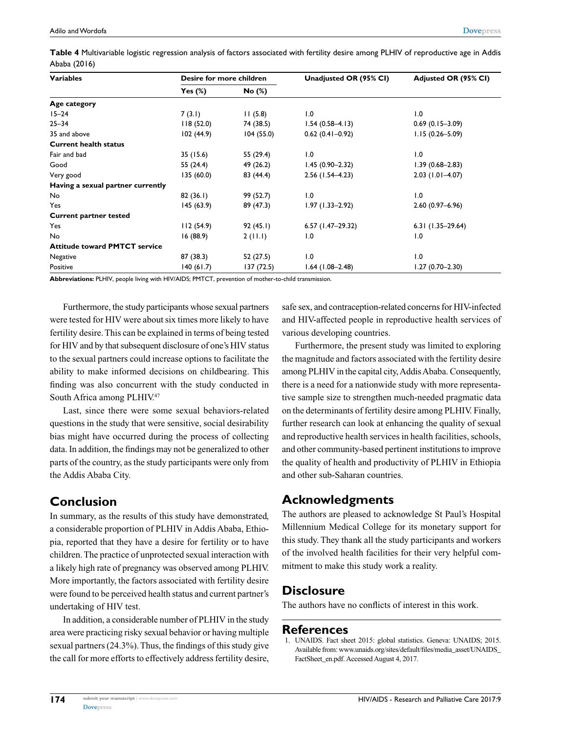| Table 4 Multivariable logistic regression analysis of factors associated with fertility desire among PLHIV of reproductive age in Addis |  |  |
|-----------------------------------------------------------------------------------------------------------------------------------------|--|--|
| Ababa (2016)                                                                                                                            |  |  |

| <b>Variables</b>                     | Desire for more children |            | Unadjusted OR (95% CI) | Adjusted OR (95% CI) |
|--------------------------------------|--------------------------|------------|------------------------|----------------------|
|                                      | Yes $(\%)$               | No (%)     |                        |                      |
| Age category                         |                          |            |                        |                      |
| $15 - 24$                            | 7(3.1)                   | 11(5.8)    | 1.0                    | 1.0                  |
| $25 - 34$                            | 118(52.0)                | 74 (38.5)  | $1.54(0.58 - 4.13)$    | $0.69(0.15 - 3.09)$  |
| 35 and above                         | 102(44.9)                | 104(55.0)  | $0.62(0.41 - 0.92)$    | $1.15(0.26 - 5.09)$  |
| <b>Current health status</b>         |                          |            |                        |                      |
| Fair and bad                         | 35 (15.6)                | 55 (29.4)  | 1.0                    | 1.0                  |
| Good                                 | 55 (24.4)                | 49 (26.2)  | $1.45(0.90-2.32)$      | 1.39 (0.68–2.83)     |
| Very good                            | 135 (60.0)               | 83 (44.4)  | $2.56$ (1.54-4.23)     | $2.03$ (1.01-4.07)   |
| Having a sexual partner currently    |                          |            |                        |                      |
| <b>No</b>                            | 82(36.1)                 | 99 (52.7)  | 1.0                    | $\overline{0}$ .     |
| Yes                                  | 145(63.9)                | 89 (47.3)  | $1.97(1.33 - 2.92)$    | $2.60(0.97 - 6.96)$  |
| <b>Current partner tested</b>        |                          |            |                        |                      |
| Yes                                  | 112(54.9)                | 92(45.1)   | $6.57$ (1.47-29.32)    | $6.31(1.35-29.64)$   |
| No                                   | 16(88.9)                 | 2(11.1)    | 1.0                    | 1.0                  |
| <b>Attitude toward PMTCT service</b> |                          |            |                        |                      |
| Negative                             | 87 (38.3)                | 52 (27.5)  | 1.0                    | 1.0                  |
| Positive                             | 140(61.7)                | 137 (72.5) | 1.64 (1.08–2.48)       | 1.27 (0.70–2.30)     |

**Abbreviations:** PLHIV, people living with HIV/AIDS; PMTCT, prevention of mother-to-child transmission.

Furthermore, the study participants whose sexual partners were tested for HIV were about six times more likely to have fertility desire. This can be explained in terms of being tested for HIV and by that subsequent disclosure of one's HIV status to the sexual partners could increase options to facilitate the ability to make informed decisions on childbearing. This finding was also concurrent with the study conducted in South Africa among PLHIV.47

Last, since there were some sexual behaviors-related questions in the study that were sensitive, social desirability bias might have occurred during the process of collecting data. In addition, the findings may not be generalized to other parts of the country, as the study participants were only from the Addis Ababa City.

# **Conclusion**

In summary, as the results of this study have demonstrated, a considerable proportion of PLHIV in Addis Ababa, Ethiopia, reported that they have a desire for fertility or to have children. The practice of unprotected sexual interaction with a likely high rate of pregnancy was observed among PLHIV. More importantly, the factors associated with fertility desire were found to be perceived health status and current partner's undertaking of HIV test.

In addition, a considerable number of PLHIV in the study area were practicing risky sexual behavior or having multiple sexual partners (24.3%). Thus, the findings of this study give the call for more efforts to effectively address fertility desire, safe sex, and contraception-related concerns for HIV-infected and HIV-affected people in reproductive health services of various developing countries.

Furthermore, the present study was limited to exploring the magnitude and factors associated with the fertility desire among PLHIV in the capital city, Addis Ababa. Consequently, there is a need for a nationwide study with more representative sample size to strengthen much-needed pragmatic data on the determinants of fertility desire among PLHIV. Finally, further research can look at enhancing the quality of sexual and reproductive health services in health facilities, schools, and other community-based pertinent institutions to improve the quality of health and productivity of PLHIV in Ethiopia and other sub-Saharan countries.

# **Acknowledgments**

The authors are pleased to acknowledge St Paul's Hospital Millennium Medical College for its monetary support for this study. They thank all the study participants and workers of the involved health facilities for their very helpful commitment to make this study work a reality.

# **Disclosure**

The authors have no conflicts of interest in this work.

#### **References**

1. UNAIDS. Fact sheet 2015: global statistics. Geneva: UNAIDS; 2015. Available from: [www.unaids.org/sites/default/files/media\\_asset/UNAIDS\\_](www.unaids.org/sites/default/files/media_asset/UNAIDS_FactSheet_en.pdf) [FactSheet\\_en.pdf.](www.unaids.org/sites/default/files/media_asset/UNAIDS_FactSheet_en.pdf) Accessed August 4, 2017.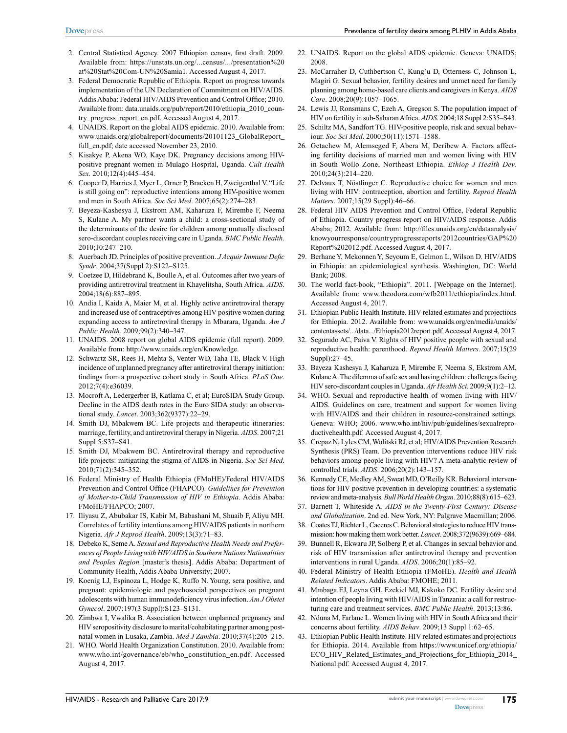- 2. Central Statistical Agency. 2007 Ethiopian census, first draft. 2009. Available from: https://unstats.un.org/...census/.../presentation%20 at%20Stat%20Com-UN%20Samia1. Accessed August 4, 2017.
- 3. Federal Democratic Republic of Ethiopia. Report on progress towards implementation of the UN Declaration of Commitment on HIV/AIDS. Addis Ababa: Federal HIV/AIDS Prevention and Control Office; 2010. Available from: data.unaids.org/pub/report/2010/ethiopia\_2010\_country\_progress\_report\_en.pdf. Accessed August 4, 2017.
- 4. UNAIDS. Report on the global AIDS epidemic. 2010. Available from: www.unaids.org/globalreport/documents/20101123\_GlobalReport\_ full\_en.pdf; date accessed November 23, 2010.
- 5. Kisakye P, Akena WO, Kaye DK. Pregnancy decisions among HIVpositive pregnant women in Mulago Hospital, Uganda. *Cult Health Sex*. 2010;12(4):445–454.
- 6. Cooper D, Harries J, Myer L, Orner P, Bracken H, Zweigenthal V. "Life is still going on": reproductive intentions among HIV-positive women and men in South Africa. *Soc Sci Med*. 2007;65(2):274–283.
- 7. Beyeza-Kashesya J, Ekstrom AM, Kaharuza F, Mirembe F, Neema S, Kulane A. My partner wants a child: a cross-sectional study of the determinants of the desire for children among mutually disclosed sero-discordant couples receiving care in Uganda. *BMC Public Health*.  $2010:10:247 - 210$
- 8. Auerbach JD. Principles of positive prevention. *J Acquir Immune Defic Syndr*. 2004;37(Suppl 2):S122–S125.
- 9. Coetzee D, Hildebrand K, Boulle A, et al. Outcomes after two years of providing antiretroviral treatment in Khayelitsha, South Africa. *AIDS*. 2004;18(6):887–895.
- 10. Andia I, Kaida A, Maier M, et al. Highly active antiretroviral therapy and increased use of contraceptives among HIV positive women during expanding access to antiretroviral therapy in Mbarara, Uganda. *Am J Public Health*. 2009;99(2):340–347.
- 11. UNAIDS. 2008 report on global AIDS epidemic (full report). 2009. Available from: http://www.unaids.org/en/Knowledge.
- 12. Schwartz SR, Rees H, Mehta S, Venter WD, Taha TE, Black V. High incidence of unplanned pregnancy after antiretroviral therapy initiation: findings from a prospective cohort study in South Africa. *PLoS One*. 2012;7(4):e36039.
- 13. Mocroft A, Ledergerber B, Katlama C, et al; EuroSIDA Study Group. Decline in the AIDS death rates in the Euro SIDA study: an observational study. *Lancet*. 2003;362(9377):22–29.
- 14. Smith DJ, Mbakwem BC. Life projects and therapeutic itineraries: marriage, fertility, and antiretroviral therapy in Nigeria. *AIDS*. 2007;21 Suppl 5:S37–S41.
- 15. Smith DJ, Mbakwem BC. Antiretroviral therapy and reproductive life projects: mitigating the stigma of AIDS in Nigeria. *Soc Sci Med*. 2010;71(2):345–352.
- 16. Federal Ministry of Health Ethiopia (FMoHE)/Federal HIV/AIDS Prevention and Control Office (FHAPCO). *Guidelines for Prevention of Mother-to-Child Transmission of HIV in Ethiopia*. Addis Ababa: FMoHE/FHAPCO; 2007.
- 17. Iliyasu Z, Abubakar IS, Kabir M, Babashani M, Shuaib F, Aliyu MH. Correlates of fertility intentions among HIV/AIDS patients in northern Nigeria. *Afr J Reprod Health*. 2009;13(3):71–83.
- 18. Debeko K, Seme A. *Sexual and Reproductive Health Needs and Preferences of People Living with HIV/AIDS in Southern Nations Nationalities and Peoples Region* [master's thesis]. Addis Ababa: Department of Community Health, Addis Ababa University; 2007.
- 19. Koenig LJ, Espinoza L, Hodge K, Ruffo N. Young, sera positive, and pregnant: epidemiologic and psychosocial perspectives on pregnant adolescents with human immunodeficiency virus infection. *Am J Obstet Gynecol*. 2007;197(3 Suppl):S123–S131.
- 20. Zimbwa I, Vwalika B. Association between unplanned pregnancy and HIV seropositivity disclosure to marital/cohabitating partner among postnatal women in Lusaka, Zambia. *Med J Zambia*. 2010;37(4):205–215.
- 21. WHO. World Health Organization Constitution. 2010. Available from: www.who.int/governance/eb/who\_constitution\_en.pdf. Accessed August 4, 2017.
- 22. UNAIDS. Report on the global AIDS epidemic. Geneva: UNAIDS; 2008.
- 23. McCarraher D, Cuthbertson C, Kung'u D, Otterness C, Johnson L, Magiri G. Sexual behavior, fertility desires and unmet need for family planning among home-based care clients and caregivers in Kenya. *AIDS Care*. 2008;20(9):1057–1065.
- 24. Lewis JJ, Ronsmans C, Ezeh A, Gregson S. The population impact of HIV on fertility in sub-Saharan Africa. *AIDS*. 2004;18 Suppl 2:S35–S43.
- 25. Schiltz MA, Sandfort TG. HIV-positive people, risk and sexual behaviour. *Soc Sci Med*. 2000;50(11):1571–1588.
- 26. Getachew M, Alemseged F, Abera M, Deribew A. Factors affecting fertility decisions of married men and women living with HIV in South Wollo Zone, Northeast Ethiopia. *Ethiop J Health Dev*. 2010;24(3):214–220.
- 27. Delvaux T, Nöstlinger C. Reproductive choice for women and men living with HIV: contraception, abortion and fertility. *Reprod Health Matters*. 2007;15(29 Suppl):46–66.
- 28. Federal HIV AIDS Prevention and Control Office, Federal Republic of Ethiopia. Country progress report on HIV/AIDS response. Addis Ababa; 2012. Available from: [http://files.unaids.org/en/dataanalysis/](http://files.unaids.org/en/dataanalysis/knowyourresponse/countryprogressreports/2012countries/GAP%20Report%202012.pdf) [knowyourresponse/countryprogressreports/2012countries/GAP%20](http://files.unaids.org/en/dataanalysis/knowyourresponse/countryprogressreports/2012countries/GAP%20Report%202012.pdf) [Report%202012.pdf.](http://files.unaids.org/en/dataanalysis/knowyourresponse/countryprogressreports/2012countries/GAP%20Report%202012.pdf) Accessed August 4, 2017.
- 29. Berhane Y, Mekonnen Y, Seyoum E, Gelmon L, Wilson D. HIV/AIDS in Ethiopia: an epidemiological synthesis. Washington, DC: World Bank; 2008.
- 30. The world fact-book, "Ethiopia". 2011. [Webpage on the Internet]. Available from: www.theodora.com/wfb2011/ethiopia/index.html. Accessed August 4, 2017.
- 31. Ethiopian Public Health Institute. HIV related estimates and projections for Ethiopia. 2012. Available from: www.unaids.org/en/media/unaids/ contentassets/.../data.../Ethiopia2012report.pdf. Accessed August 4, 2017.
- 32. Segurado AC, Paiva V. Rights of HIV positive people with sexual and reproductive health: parenthood. *Reprod Health Matters*. 2007;15(29 Suppl):27–45.
- 33. Bayeza Kashesya J, Kaharuza F, Mirembe F, Neema S, Ekstrom AM, Kulane A. The dilemma of safe sex and having children: challenges facing HIV sero-discordant couples in Uganda. *Afr Health Sci*. 2009;9(1):2–12.
- 34. WHO. Sexual and reproductive health of women living with HIV/ AIDS. Guidelines on care, treatment and support for women living with HIV/AIDS and their children in resource-constrained settings. Geneva: WHO; 2006. www.who.int/hiv/pub/guidelines/sexualreproductivehealth.pdf. Accessed August 4, 2017.
- 35. Crepaz N, Lyles CM, Wolitski RJ, et al; HIV/AIDS Prevention Research Synthesis (PRS) Team. Do prevention interventions reduce HIV risk behaviors among people living with HIV? A meta-analytic review of controlled trials. *AIDS*. 2006;20(2):143–157.
- 36. Kennedy CE, Medley AM, Sweat MD, O'Reilly KR. Behavioral interventions for HIV positive prevention in developing countries: a systematic review and meta-analysis. *Bull World Health Organ*. 2010;88(8):615–623.
- 37. Barnett T, Whiteside A. *AIDS in the Twenty-First Century: Disease and Globalization*. 2nd ed. New York, NY: Palgrave Macmillan; 2006.
- 38. Coates TJ, Richter L, Caceres C. Behavioral strategies to reduce HIV transmission: how making them work better. *Lancet*. 2008;372(9639):669–684.
- 39. Bunnell R, Ekwaru JP, Solberg P, et al. Changes in sexual behavior and risk of HIV transmission after antiretroviral therapy and prevention interventions in rural Uganda. *AIDS*. 2006;20(1):85–92.
- 40. Federal Ministry of Health Ethiopia (FMoHE). *Health and Health Related Indicators*. Addis Ababa: FMOHE; 2011.
- 41. Mmbaga EJ, Leyna GH, Ezekiel MJ, Kakoko DC. Fertility desire and intention of people living with HIV/AIDS in Tanzania: a call for restructuring care and treatment services. *BMC Public Health*. 2013;13:86.
- 42. Nduna M, Farlane L. Women living with HIV in South Africa and their concerns about fertility. *AIDS Behav*. 2009;13 Suppl 1:62–65.
- 43. Ethiopian Public Health Institute. HIV related estimates and projections for Ethiopia. 2014. Available from [https://www.unicef.org/ethiopia/](https://www.unicef.org/ethiopia/ECO_HIV_Related_Estimates_and_Projections_for_Ethiopia_2014_National.pdf) [ECO\\_HIV\\_Related\\_Estimates\\_and\\_Projections\\_for\\_Ethiopia\\_2014\\_](https://www.unicef.org/ethiopia/ECO_HIV_Related_Estimates_and_Projections_for_Ethiopia_2014_National.pdf) [National.pdf.](https://www.unicef.org/ethiopia/ECO_HIV_Related_Estimates_and_Projections_for_Ethiopia_2014_National.pdf) Accessed August 4, 2017.